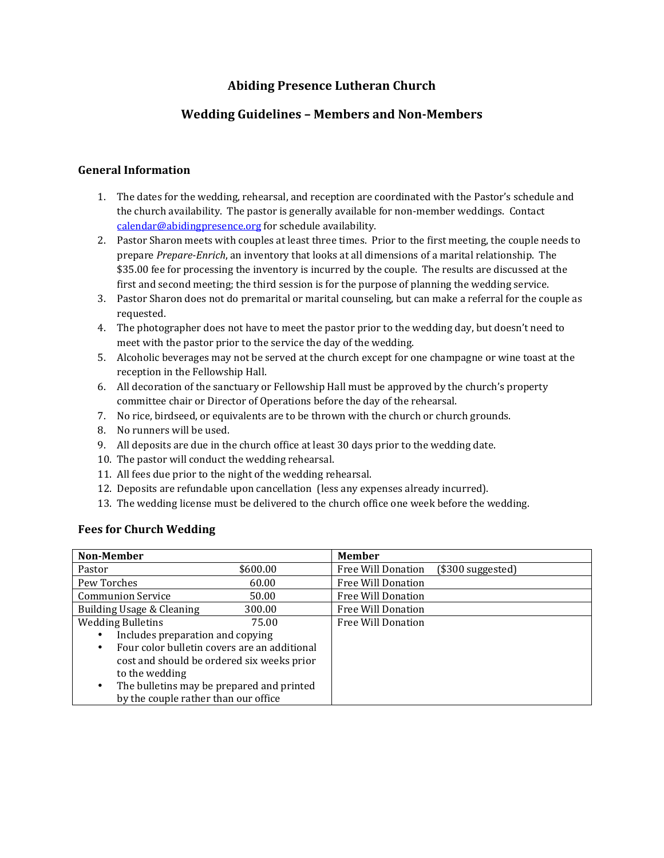# **Abiding Presence Lutheran Church**

## **Wedding Guidelines - Members and Non-Members**

## **General Information**

- 1. The dates for the wedding, rehearsal, and reception are coordinated with the Pastor's schedule and the church availability. The pastor is generally available for non-member weddings. Contact  $calar@abiding presence.org$  for schedule availability.
- 2. Pastor Sharon meets with couples at least three times. Prior to the first meeting, the couple needs to prepare *Prepare-Enrich*, an inventory that looks at all dimensions of a marital relationship. The \$35.00 fee for processing the inventory is incurred by the couple. The results are discussed at the first and second meeting; the third session is for the purpose of planning the wedding service.
- 3. Pastor Sharon does not do premarital or marital counseling, but can make a referral for the couple as requested.
- 4. The photographer does not have to meet the pastor prior to the wedding day, but doesn't need to meet with the pastor prior to the service the day of the wedding.
- 5. Alcoholic beverages may not be served at the church except for one champagne or wine toast at the reception in the Fellowship Hall.
- 6. All decoration of the sanctuary or Fellowship Hall must be approved by the church's property committee chair or Director of Operations before the day of the rehearsal.
- 7. No rice, birdseed, or equivalents are to be thrown with the church or church grounds.
- 8. No runners will be used.
- 9. All deposits are due in the church office at least 30 days prior to the wedding date.
- 10. The pastor will conduct the wedding rehearsal.
- 11. All fees due prior to the night of the wedding rehearsal.
- 12. Deposits are refundable upon cancellation (less any expenses already incurred).
- 13. The wedding license must be delivered to the church office one week before the wedding.

#### **Fees for Church Wedding**

| <b>Non-Member</b>                              |          | <b>Member</b>      |                    |
|------------------------------------------------|----------|--------------------|--------------------|
| Pastor                                         | \$600.00 | Free Will Donation | $($300$ suggested) |
| Pew Torches                                    | 60.00    | Free Will Donation |                    |
| <b>Communion Service</b>                       | 50.00    | Free Will Donation |                    |
| Building Usage & Cleaning                      | 300.00   | Free Will Donation |                    |
| <b>Wedding Bulletins</b>                       | 75.00    | Free Will Donation |                    |
| Includes preparation and copying               |          |                    |                    |
| Four color bulletin covers are an additional   |          |                    |                    |
| cost and should be ordered six weeks prior     |          |                    |                    |
| to the wedding                                 |          |                    |                    |
| The bulletins may be prepared and printed<br>٠ |          |                    |                    |
| by the couple rather than our office           |          |                    |                    |